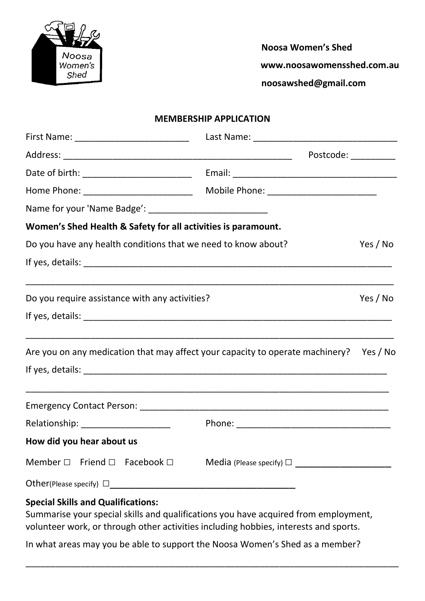

 **Noosa Women's Shed**

**www.noosawomensshed.com.au** 

 **noosawshed@gmail.com**

## **MEMBERSHIP APPLICATION**

|                                                                                        | Postcode: __________                                        |          |
|----------------------------------------------------------------------------------------|-------------------------------------------------------------|----------|
|                                                                                        |                                                             |          |
|                                                                                        |                                                             |          |
|                                                                                        |                                                             |          |
| Women's Shed Health & Safety for all activities is paramount.                          |                                                             |          |
| Do you have any health conditions that we need to know about?                          |                                                             | Yes / No |
|                                                                                        |                                                             |          |
| Do you require assistance with any activities?                                         |                                                             | Yes / No |
|                                                                                        |                                                             |          |
| Are you on any medication that may affect your capacity to operate machinery? Yes / No | <u> 1989 - Johann Stoff, amerikansk politiker (d. 1989)</u> |          |
|                                                                                        |                                                             |          |
|                                                                                        |                                                             |          |
| Relationship: ____________________                                                     |                                                             |          |
| How did you hear about us                                                              |                                                             |          |
| Member $\square$ Friend $\square$ Facebook $\square$                                   | Media (Please specify) $\Box$                               |          |
|                                                                                        |                                                             |          |
| <b>Special Skills and Qualifications:</b>                                              |                                                             |          |

Summarise your special skills and qualifications you have acquired from employment, volunteer work, or through other activities including hobbies, interests and sports.

\_\_\_\_\_\_\_\_\_\_\_\_\_\_\_\_\_\_\_\_\_\_\_\_\_\_\_\_\_\_\_\_\_\_\_\_\_\_\_\_\_\_\_\_\_\_\_\_\_\_\_\_\_\_\_\_\_\_\_\_\_\_\_\_\_\_\_\_\_\_\_\_\_\_\_

In what areas may you be able to support the Noosa Women's Shed as a member?